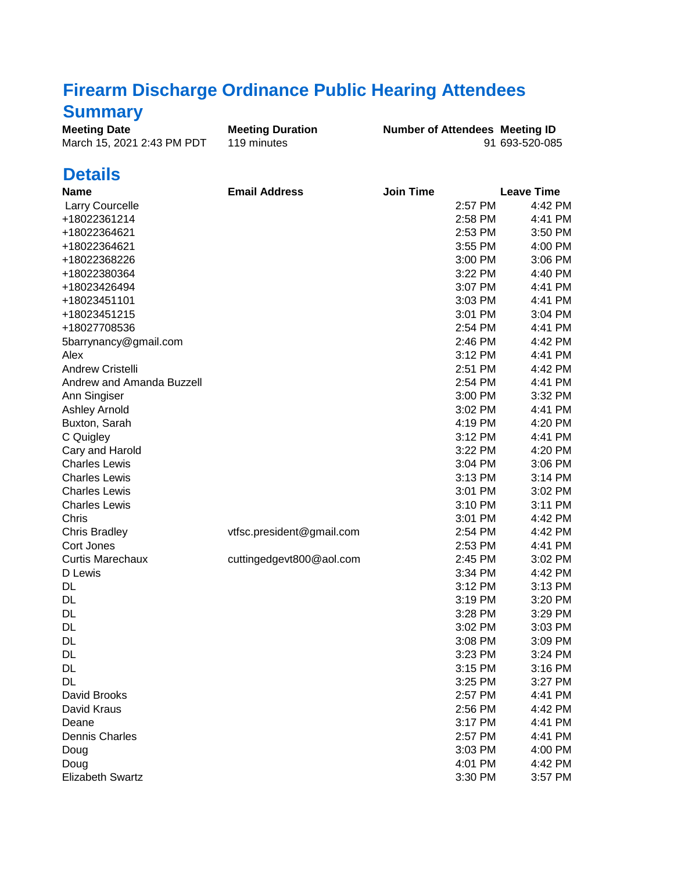## **Firearm Discharge Ordinance Public Hearing Attendees**

## **Summary**

| <b>Meeting Date</b>        | <b>Meeting Duration</b> | <b>Number of Attendees Meeting ID</b> |                |
|----------------------------|-------------------------|---------------------------------------|----------------|
| March 15, 2021 2:43 PM PDT | 119 minutes             |                                       | 91 693-520-085 |

## **Details**

| <b>Name</b>               | <b>Email Address</b>      | <b>Join Time</b> |           | <b>Leave Time</b> |
|---------------------------|---------------------------|------------------|-----------|-------------------|
| <b>Larry Courcelle</b>    |                           |                  | 2:57 PM   | 4:42 PM           |
| +18022361214              |                           |                  | 2:58 PM   | 4:41 PM           |
| +18022364621              |                           |                  | 2:53 PM   | 3:50 PM           |
| +18022364621              |                           |                  | 3:55 PM   | 4:00 PM           |
| +18022368226              |                           |                  | 3:00 PM   | 3:06 PM           |
| +18022380364              |                           |                  | 3:22 PM   | 4:40 PM           |
| +18023426494              |                           |                  | 3:07 PM   | 4:41 PM           |
| +18023451101              |                           |                  | $3:03$ PM | 4:41 PM           |
| +18023451215              |                           |                  | 3:01 PM   | 3:04 PM           |
| +18027708536              |                           |                  | 2:54 PM   | 4:41 PM           |
| 5barrynancy@gmail.com     |                           |                  | 2:46 PM   | 4:42 PM           |
| Alex                      |                           |                  | 3:12 PM   | 4:41 PM           |
| <b>Andrew Cristelli</b>   |                           |                  | 2:51 PM   | 4:42 PM           |
| Andrew and Amanda Buzzell |                           |                  | 2:54 PM   | 4:41 PM           |
| Ann Singiser              |                           |                  | 3:00 PM   | 3:32 PM           |
| <b>Ashley Arnold</b>      |                           |                  | 3:02 PM   | 4:41 PM           |
| Buxton, Sarah             |                           |                  | 4:19 PM   | 4:20 PM           |
| C Quigley                 |                           |                  | 3:12 PM   | 4:41 PM           |
| Cary and Harold           |                           |                  | 3:22 PM   | 4:20 PM           |
| <b>Charles Lewis</b>      |                           |                  | 3:04 PM   | 3:06 PM           |
| <b>Charles Lewis</b>      |                           |                  | 3:13 PM   | 3:14 PM           |
| <b>Charles Lewis</b>      |                           |                  | 3:01 PM   | 3:02 PM           |
| <b>Charles Lewis</b>      |                           |                  | 3:10 PM   | 3:11 PM           |
| Chris                     |                           |                  | 3:01 PM   | 4:42 PM           |
| <b>Chris Bradley</b>      | vtfsc.president@gmail.com |                  | 2:54 PM   | 4:42 PM           |
| Cort Jones                |                           |                  | 2:53 PM   | 4:41 PM           |
| <b>Curtis Marechaux</b>   | cuttingedgevt800@aol.com  |                  | 2:45 PM   | 3:02 PM           |
| D Lewis                   |                           |                  | 3:34 PM   | 4:42 PM           |
| DL.                       |                           |                  | 3:12 PM   | 3:13 PM           |
| DL                        |                           |                  | 3:19 PM   | 3:20 PM           |
| DL                        |                           |                  | 3:28 PM   | 3:29 PM           |
| DL                        |                           |                  | 3:02 PM   | 3:03 PM           |
| DL                        |                           |                  | 3:08 PM   | 3:09 PM           |
| DL                        |                           |                  | 3:23 PM   | 3:24 PM           |
| DL                        |                           |                  | 3:15 PM   | 3:16 PM           |
| <b>DL</b>                 |                           |                  | 3:25 PM   | 3:27 PM           |
| David Brooks              |                           |                  | 2:57 PM   | 4:41 PM           |
| David Kraus               |                           |                  | 2:56 PM   | 4:42 PM           |
| Deane                     |                           |                  | 3:17 PM   | 4:41 PM           |
| <b>Dennis Charles</b>     |                           |                  | 2:57 PM   | 4:41 PM           |
| Doug                      |                           |                  | 3:03 PM   | 4:00 PM           |
| Doug                      |                           |                  | 4:01 PM   | 4:42 PM           |
| <b>Elizabeth Swartz</b>   |                           |                  | 3:30 PM   | 3:57 PM           |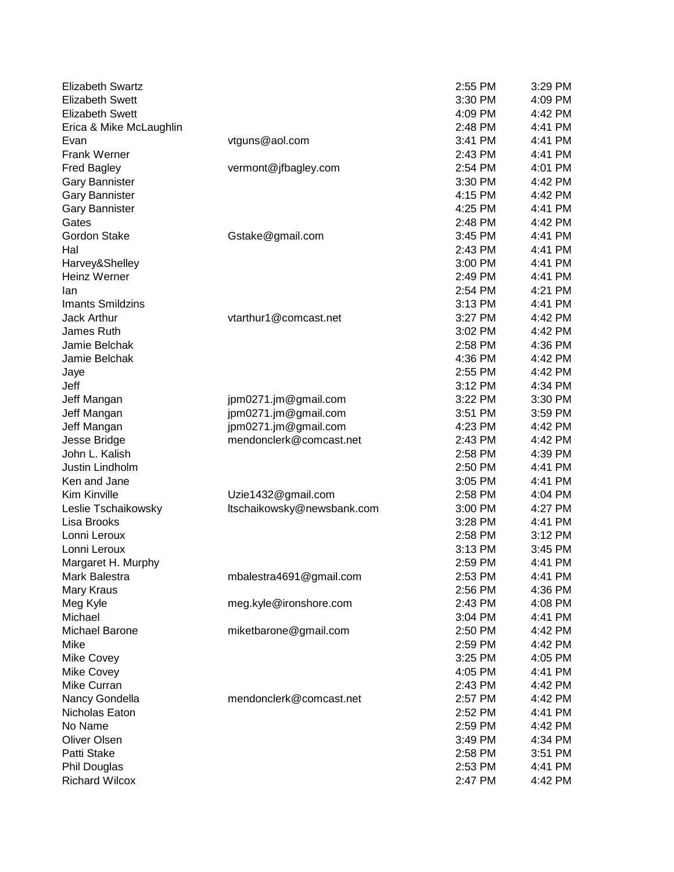| <b>Elizabeth Swartz</b> |                            | 2:55 PM | 3:29 PM |
|-------------------------|----------------------------|---------|---------|
| <b>Elizabeth Swett</b>  |                            | 3:30 PM | 4:09 PM |
| <b>Elizabeth Swett</b>  |                            | 4:09 PM | 4:42 PM |
| Erica & Mike McLaughlin |                            | 2:48 PM | 4:41 PM |
| Evan                    | vtguns@aol.com             | 3:41 PM | 4:41 PM |
| <b>Frank Werner</b>     |                            | 2:43 PM | 4:41 PM |
| <b>Fred Bagley</b>      | vermont@jfbagley.com       | 2:54 PM | 4:01 PM |
| <b>Gary Bannister</b>   |                            | 3:30 PM | 4:42 PM |
| <b>Gary Bannister</b>   |                            | 4:15 PM | 4:42 PM |
| <b>Gary Bannister</b>   |                            | 4:25 PM | 4:41 PM |
| Gates                   |                            | 2:48 PM | 4:42 PM |
| Gordon Stake            | Gstake@gmail.com           | 3:45 PM | 4:41 PM |
| Hal                     |                            | 2:43 PM | 4:41 PM |
| Harvey&Shelley          |                            | 3:00 PM | 4:41 PM |
| <b>Heinz Werner</b>     |                            | 2:49 PM | 4:41 PM |
| lan                     |                            | 2:54 PM | 4:21 PM |
| <b>Imants Smildzins</b> |                            | 3:13 PM | 4:41 PM |
| Jack Arthur             | vtarthur1@comcast.net      | 3:27 PM | 4:42 PM |
| James Ruth              |                            | 3:02 PM | 4:42 PM |
| Jamie Belchak           |                            | 2:58 PM | 4:36 PM |
| Jamie Belchak           |                            | 4:36 PM | 4:42 PM |
| Jaye                    |                            | 2:55 PM | 4:42 PM |
| Jeff                    |                            | 3:12 PM | 4:34 PM |
| Jeff Mangan             | jpm0271.jm@gmail.com       | 3:22 PM | 3:30 PM |
| Jeff Mangan             | jpm0271.jm@gmail.com       | 3:51 PM | 3:59 PM |
| Jeff Mangan             | jpm0271.jm@gmail.com       | 4:23 PM | 4:42 PM |
| Jesse Bridge            | mendonclerk@comcast.net    | 2:43 PM | 4:42 PM |
| John L. Kalish          |                            | 2:58 PM | 4:39 PM |
| Justin Lindholm         |                            | 2:50 PM | 4:41 PM |
| Ken and Jane            |                            | 3:05 PM | 4:41 PM |
| Kim Kinville            | Uzie1432@gmail.com         | 2:58 PM | 4:04 PM |
| Leslie Tschaikowsky     | ltschaikowsky@newsbank.com | 3:00 PM | 4:27 PM |
| Lisa Brooks             |                            | 3:28 PM | 4:41 PM |
| Lonni Leroux            |                            | 2:58 PM | 3:12 PM |
| Lonni Leroux            |                            | 3:13 PM | 3:45 PM |
| Margaret H. Murphy      |                            | 2:59 PM | 4:41 PM |
| Mark Balestra           | mbalestra4691@gmail.com    | 2:53 PM | 4:41 PM |
| Mary Kraus              |                            | 2:56 PM | 4:36 PM |
| Meg Kyle                | meg.kyle@ironshore.com     | 2:43 PM | 4:08 PM |
| Michael                 |                            | 3:04 PM | 4:41 PM |
| Michael Barone          | miketbarone@gmail.com      | 2:50 PM | 4:42 PM |
| Mike                    |                            | 2:59 PM | 4:42 PM |
| Mike Covey              |                            | 3:25 PM | 4:05 PM |
| Mike Covey              |                            | 4:05 PM | 4:41 PM |
| Mike Curran             |                            | 2:43 PM | 4:42 PM |
| Nancy Gondella          | mendonclerk@comcast.net    | 2:57 PM | 4:42 PM |
| Nicholas Eaton          |                            | 2:52 PM | 4:41 PM |
| No Name                 |                            | 2:59 PM | 4:42 PM |
| Oliver Olsen            |                            | 3:49 PM | 4:34 PM |
| Patti Stake             |                            | 2:58 PM | 3:51 PM |
| Phil Douglas            |                            | 2:53 PM | 4:41 PM |
| <b>Richard Wilcox</b>   |                            | 2:47 PM | 4:42 PM |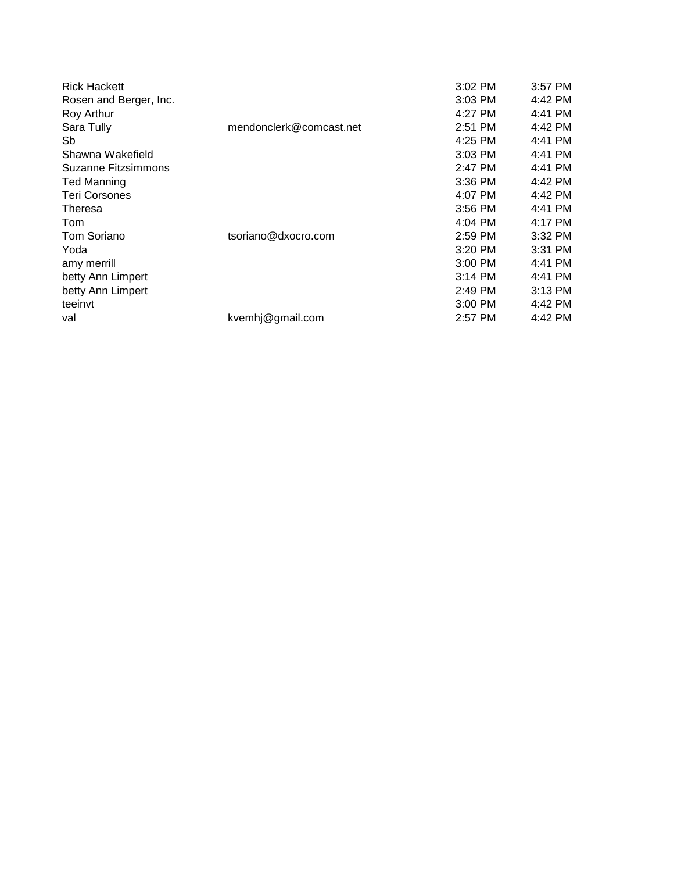| <b>Rick Hackett</b>    |                         | $3:02$ PM | $3:57$ PM |
|------------------------|-------------------------|-----------|-----------|
| Rosen and Berger, Inc. |                         | $3:03$ PM | 4:42 PM   |
| Roy Arthur             |                         | 4:27 PM   | 4:41 PM   |
| Sara Tully             | mendonclerk@comcast.net | 2:51 PM   | 4:42 PM   |
| Sb                     |                         | 4:25 PM   | 4:41 PM   |
| Shawna Wakefield       |                         | 3:03 PM   | 4:41 PM   |
| Suzanne Fitzsimmons    |                         | 2:47 PM   | 4:41 PM   |
| <b>Ted Manning</b>     |                         | $3:36$ PM | 4:42 PM   |
| Teri Corsones          |                         | 4:07 PM   | 4:42 PM   |
| Theresa                |                         | $3:56$ PM | 4:41 PM   |
| Tom                    |                         | $4:04$ PM | 4:17 PM   |
| Tom Soriano            | tsoriano@dxocro.com     | $2:59$ PM | $3:32$ PM |
| Yoda                   |                         | $3:20$ PM | $3:31$ PM |
| amy merrill            |                         | $3:00$ PM | 4:41 PM   |
| betty Ann Limpert      |                         | $3:14$ PM | 4:41 PM   |
| betty Ann Limpert      |                         | 2:49 PM   | $3:13$ PM |
| teeinvt                |                         | $3:00$ PM | 4:42 PM   |
| val                    | kvemhj@gmail.com        | 2:57 PM   | 4:42 PM   |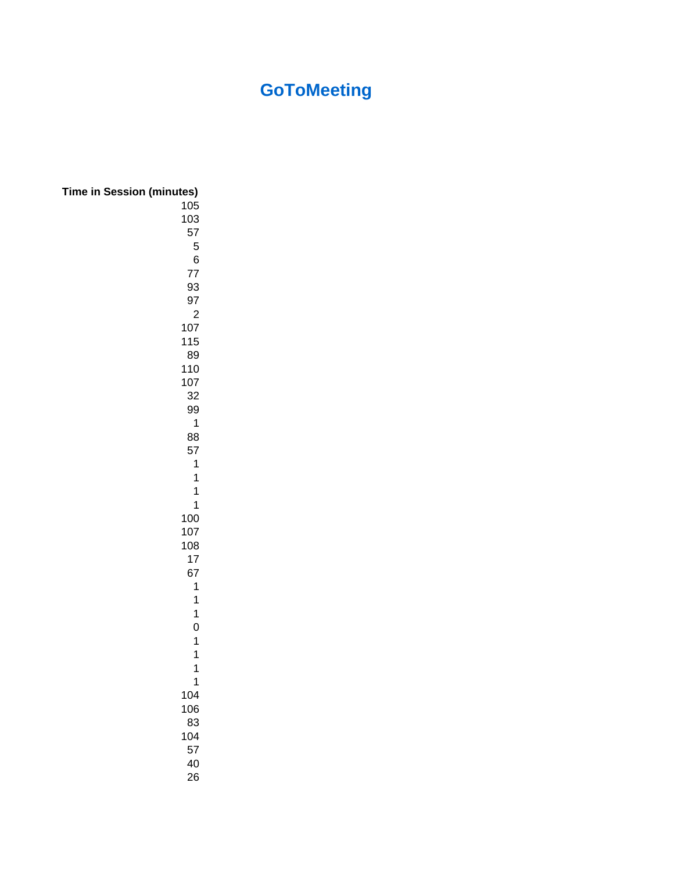## **GoToMeeting**

| <b>Time in Session (minutes)</b> |  |
|----------------------------------|--|
| 105                              |  |
| 103                              |  |
| 57                               |  |
| 5                                |  |
| 6                                |  |
| 77                               |  |
| 93<br>97                         |  |
| $\overline{c}$                   |  |
| 107                              |  |
| 115                              |  |
| 89                               |  |
| 110                              |  |
| 107                              |  |
| 32                               |  |
| 99                               |  |
| 1                                |  |
| 88                               |  |
| 57<br>1                          |  |
| 1                                |  |
| $\overline{1}$                   |  |
| $\overline{1}$                   |  |
| 100                              |  |
| 107                              |  |
| 108                              |  |
| 17                               |  |
| 67                               |  |
| $\mathbf{1}$                     |  |
| 1                                |  |
| 1<br>$\overline{0}$              |  |
| 1                                |  |
| 1                                |  |
| $\overline{1}$                   |  |
| 1                                |  |
| 104                              |  |
| 106                              |  |
| 83                               |  |
| 104                              |  |
| 57                               |  |
| 40<br>26                         |  |
|                                  |  |